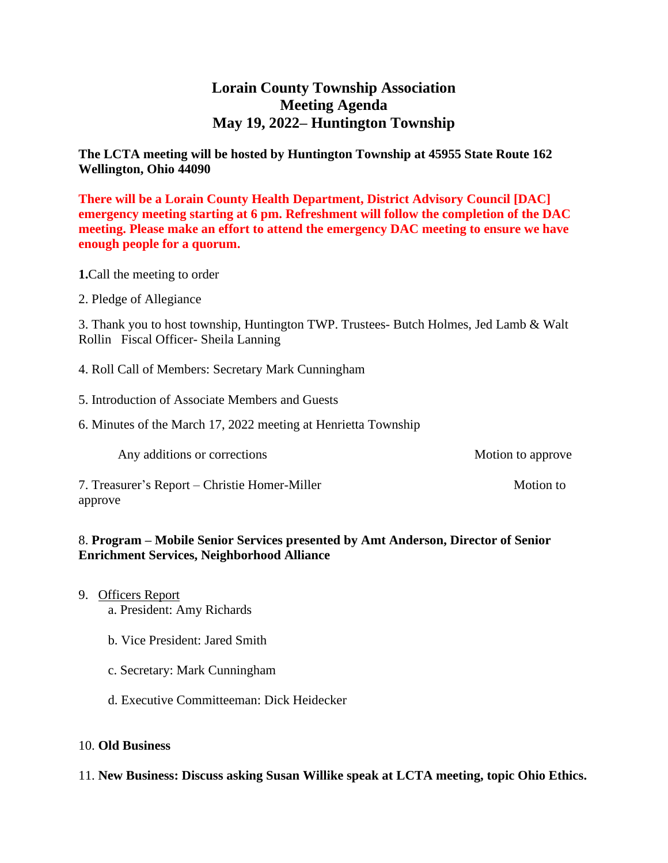# **Lorain County Township Association Meeting Agenda May 19, 2022– Huntington Township**

#### **The LCTA meeting will be hosted by Huntington Township at 45955 State Route 162 Wellington, Ohio 44090**

**There will be a Lorain County Health Department, District Advisory Council [DAC] emergency meeting starting at 6 pm. Refreshment will follow the completion of the DAC meeting. Please make an effort to attend the emergency DAC meeting to ensure we have enough people for a quorum.**

**1.**Call the meeting to order

2. Pledge of Allegiance

3. Thank you to host township, Huntington TWP. Trustees- Butch Holmes, Jed Lamb & Walt Rollin Fiscal Officer- Sheila Lanning

- 4. Roll Call of Members: Secretary Mark Cunningham
- 5. Introduction of Associate Members and Guests
- 6. Minutes of the March 17, 2022 meeting at Henrietta Township

Any additions or corrections Motion to approve

7. Treasurer's Report – Christie Homer-Miller Motion to Motion to approve

#### 8. **Program – Mobile Senior Services presented by Amt Anderson, Director of Senior Enrichment Services, Neighborhood Alliance**

- 9. Officers Report
	- a. President: Amy Richards
	- b. Vice President: Jared Smith
	- c. Secretary: Mark Cunningham
	- d. Executive Committeeman: Dick Heidecker

#### 10. **Old Business**

11. **New Business: Discuss asking Susan Willike speak at LCTA meeting, topic Ohio Ethics.**